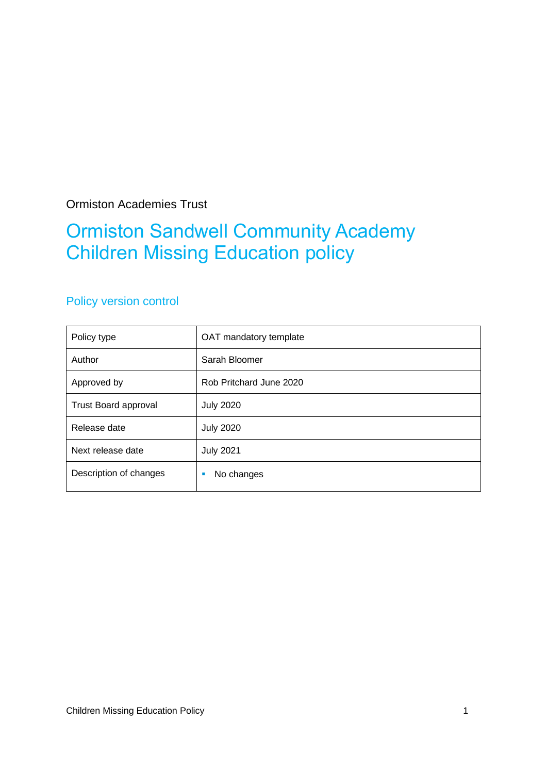Ormiston Academies Trust

## Ormiston Sandwell Community Academy Children Missing Education policy

### Policy version control

| Policy type                 | OAT mandatory template  |
|-----------------------------|-------------------------|
| Author                      | Sarah Bloomer           |
| Approved by                 | Rob Pritchard June 2020 |
| <b>Trust Board approval</b> | <b>July 2020</b>        |
| Release date                | <b>July 2020</b>        |
| Next release date           | <b>July 2021</b>        |
| Description of changes      | No changes              |
|                             |                         |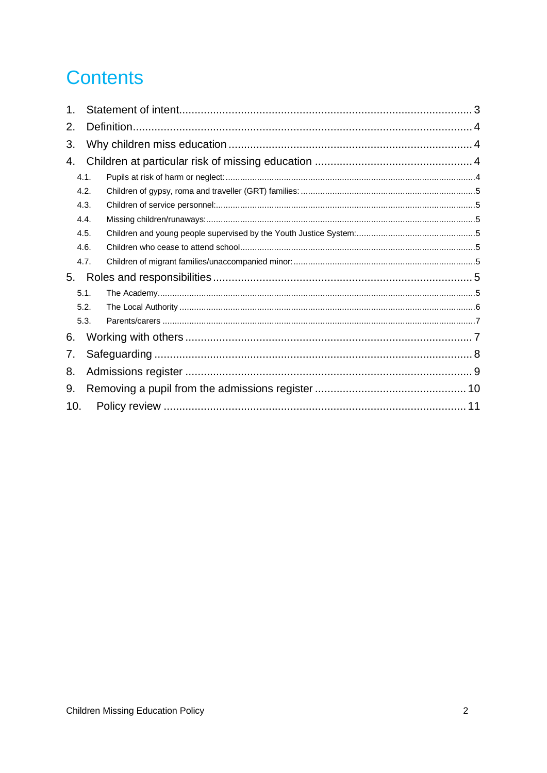# **Contents**

| 1.   |      |  |  |
|------|------|--|--|
| 2.   |      |  |  |
| 3.   |      |  |  |
| 4.   |      |  |  |
|      | 4.1. |  |  |
|      | 4.2. |  |  |
|      | 4.3. |  |  |
| 4.4. |      |  |  |
|      | 4.5. |  |  |
|      | 4.6. |  |  |
|      | 4.7. |  |  |
| 5.   |      |  |  |
| 5.1. |      |  |  |
|      | 5.2. |  |  |
|      | 5.3. |  |  |
| 6.   |      |  |  |
| 7.   |      |  |  |
| 8.   |      |  |  |
| 9.   |      |  |  |
| 10.  |      |  |  |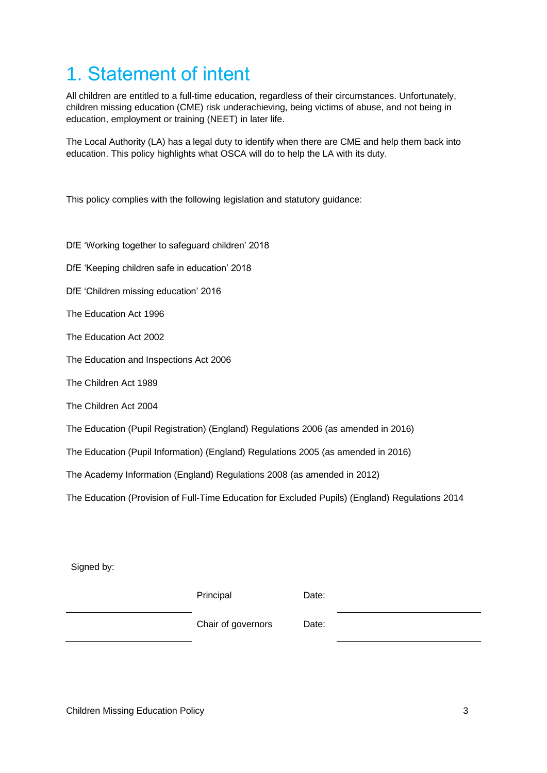# <span id="page-2-0"></span>1. Statement of intent

All children are entitled to a full-time education, regardless of their circumstances. Unfortunately, children missing education (CME) risk underachieving, being victims of abuse, and not being in education, employment or training (NEET) in later life.

The Local Authority (LA) has a legal duty to identify when there are CME and help them back into education. This policy highlights what OSCA will do to help the LA with its duty.

This policy complies with the following legislation and statutory guidance:

DfE 'Working together to safeguard children' 2018 DfE 'Keeping children safe in education' 2018 DfE 'Children missing education' 2016 The Education Act 1996 The Education Act 2002 The Education and Inspections Act 2006 The Children Act 1989 The Children Act 2004 The Education (Pupil Registration) (England) Regulations 2006 (as amended in 2016) The Education (Pupil Information) (England) Regulations 2005 (as amended in 2016) The Academy Information (England) Regulations 2008 (as amended in 2012) The Education (Provision of Full-Time Education for Excluded Pupils) (England) Regulations 2014

Signed by:

Principal Date:

Chair of governors Date: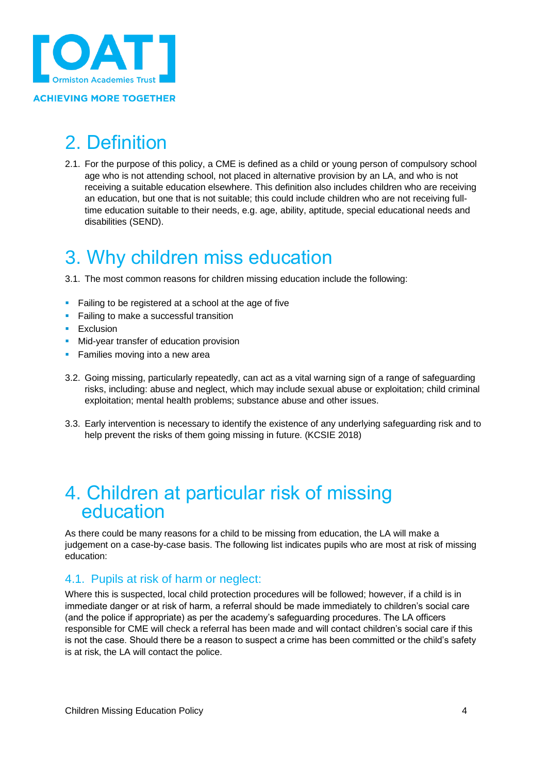

#### **ACHIEVING MORE TOGETHER**

# <span id="page-3-0"></span>2. Definition

2.1. For the purpose of this policy, a CME is defined as a child or young person of compulsory school age who is not attending school, not placed in alternative provision by an LA, and who is not receiving a suitable education elsewhere. This definition also includes children who are receiving an education, but one that is not suitable; this could include children who are not receiving fulltime education suitable to their needs, e.g. age, ability, aptitude, special educational needs and disabilities (SEND).

## <span id="page-3-1"></span>3. Why children miss education

3.1. The most common reasons for children missing education include the following:

- Failing to be registered at a school at the age of five
- **EXEC** Failing to make a successful transition
- **Exclusion**
- Mid-year transfer of education provision
- **EXEC** Families moving into a new area
- 3.2. Going missing, particularly repeatedly, can act as a vital warning sign of a range of safeguarding risks, including: abuse and neglect, which may include sexual abuse or exploitation; child criminal exploitation; mental health problems; substance abuse and other issues.
- 3.3. Early intervention is necessary to identify the existence of any underlying safeguarding risk and to help prevent the risks of them going missing in future. (KCSIE 2018)

### <span id="page-3-2"></span>4. Children at particular risk of missing education

As there could be many reasons for a child to be missing from education, the LA will make a judgement on a case-by-case basis. The following list indicates pupils who are most at risk of missing education:

#### <span id="page-3-3"></span>4.1. Pupils at risk of harm or neglect:

Where this is suspected, local child protection procedures will be followed; however, if a child is in immediate danger or at risk of harm, a referral should be made immediately to children's social care (and the police if appropriate) as per the academy's safeguarding procedures. The LA officers responsible for CME will check a referral has been made and will contact children's social care if this is not the case. Should there be a reason to suspect a crime has been committed or the child's safety is at risk, the LA will contact the police.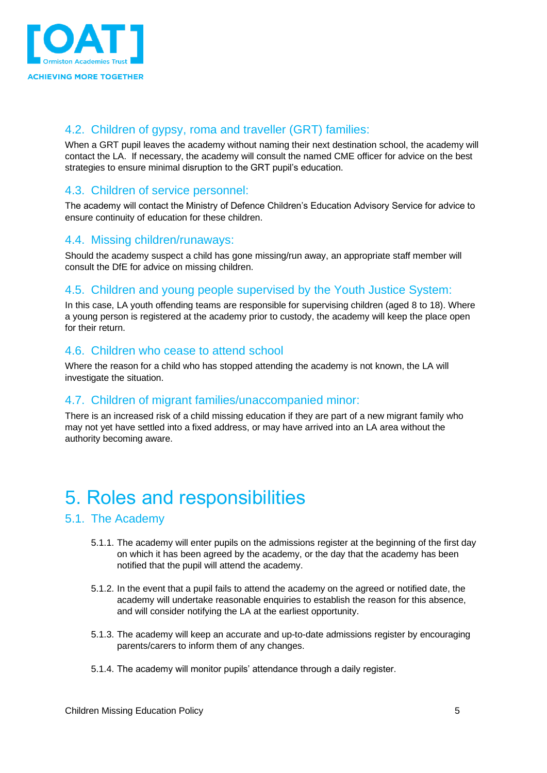

#### <span id="page-4-0"></span>4.2. Children of gypsy, roma and traveller (GRT) families:

When a GRT pupil leaves the academy without naming their next destination school, the academy will contact the LA. If necessary, the academy will consult the named CME officer for advice on the best strategies to ensure minimal disruption to the GRT pupil's education.

#### <span id="page-4-1"></span>4.3. Children of service personnel:

The academy will contact the Ministry of Defence Children's Education Advisory Service for advice to ensure continuity of education for these children.

#### <span id="page-4-2"></span>4.4. Missing children/runaways:

Should the academy suspect a child has gone missing/run away, an appropriate staff member will consult the DfE for advice on missing children.

#### <span id="page-4-3"></span>4.5. Children and young people supervised by the Youth Justice System:

In this case, LA youth offending teams are responsible for supervising children (aged 8 to 18). Where a young person is registered at the academy prior to custody, the academy will keep the place open for their return.

#### <span id="page-4-4"></span>4.6. Children who cease to attend school

Where the reason for a child who has stopped attending the academy is not known, the LA will investigate the situation.

#### <span id="page-4-5"></span>4.7. Children of migrant families/unaccompanied minor:

There is an increased risk of a child missing education if they are part of a new migrant family who may not yet have settled into a fixed address, or may have arrived into an LA area without the authority becoming aware.

## <span id="page-4-6"></span>5. Roles and responsibilities

#### <span id="page-4-7"></span>5.1. The Academy

- 5.1.1. The academy will enter pupils on the admissions register at the beginning of the first day on which it has been agreed by the academy, or the day that the academy has been notified that the pupil will attend the academy.
- 5.1.2. In the event that a pupil fails to attend the academy on the agreed or notified date, the academy will undertake reasonable enquiries to establish the reason for this absence, and will consider notifying the LA at the earliest opportunity.
- 5.1.3. The academy will keep an accurate and up-to-date admissions register by encouraging parents/carers to inform them of any changes.
- 5.1.4. The academy will monitor pupils' attendance through a daily register.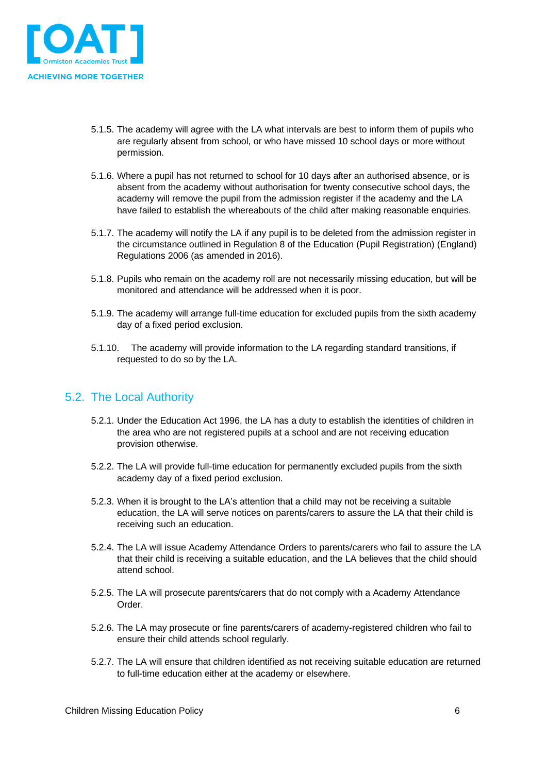

- 5.1.5. The academy will agree with the LA what intervals are best to inform them of pupils who are regularly absent from school, or who have missed 10 school days or more without permission.
- 5.1.6. Where a pupil has not returned to school for 10 days after an authorised absence, or is absent from the academy without authorisation for twenty consecutive school days, the academy will remove the pupil from the admission register if the academy and the LA have failed to establish the whereabouts of the child after making reasonable enquiries.
- 5.1.7. The academy will notify the LA if any pupil is to be deleted from the admission register in the circumstance outlined in Regulation 8 of the Education (Pupil Registration) (England) Regulations 2006 (as amended in 2016).
- 5.1.8. Pupils who remain on the academy roll are not necessarily missing education, but will be monitored and attendance will be addressed when it is poor.
- 5.1.9. The academy will arrange full-time education for excluded pupils from the sixth academy day of a fixed period exclusion.
- 5.1.10. The academy will provide information to the LA regarding standard transitions, if requested to do so by the LA.

#### <span id="page-5-0"></span>5.2. The Local Authority

- 5.2.1. Under the Education Act 1996, the LA has a duty to establish the identities of children in the area who are not registered pupils at a school and are not receiving education provision otherwise.
- 5.2.2. The LA will provide full-time education for permanently excluded pupils from the sixth academy day of a fixed period exclusion.
- 5.2.3. When it is brought to the LA's attention that a child may not be receiving a suitable education, the LA will serve notices on parents/carers to assure the LA that their child is receiving such an education.
- 5.2.4. The LA will issue Academy Attendance Orders to parents/carers who fail to assure the LA that their child is receiving a suitable education, and the LA believes that the child should attend school.
- 5.2.5. The LA will prosecute parents/carers that do not comply with a Academy Attendance Order.
- 5.2.6. The LA may prosecute or fine parents/carers of academy-registered children who fail to ensure their child attends school regularly.
- 5.2.7. The LA will ensure that children identified as not receiving suitable education are returned to full-time education either at the academy or elsewhere.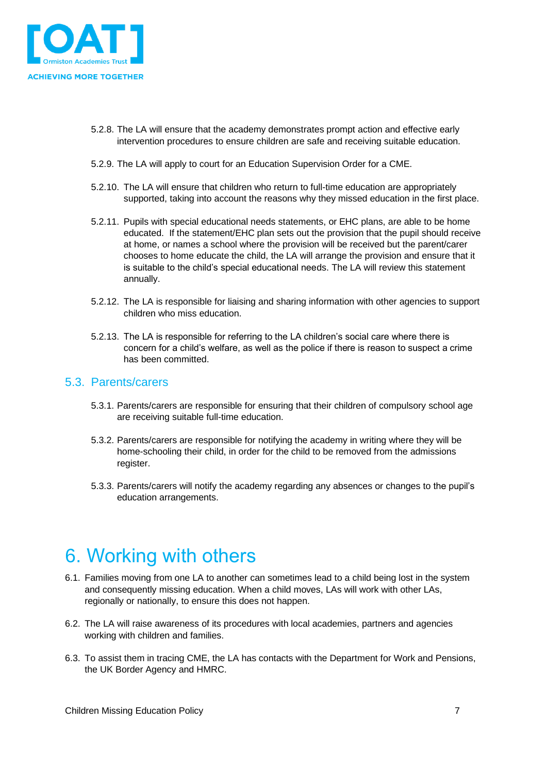

- 5.2.8. The LA will ensure that the academy demonstrates prompt action and effective early intervention procedures to ensure children are safe and receiving suitable education.
- 5.2.9. The LA will apply to court for an Education Supervision Order for a CME.
- 5.2.10. The LA will ensure that children who return to full-time education are appropriately supported, taking into account the reasons why they missed education in the first place.
- 5.2.11. Pupils with special educational needs statements, or EHC plans, are able to be home educated. If the statement/EHC plan sets out the provision that the pupil should receive at home, or names a school where the provision will be received but the parent/carer chooses to home educate the child, the LA will arrange the provision and ensure that it is suitable to the child's special educational needs. The LA will review this statement annually.
- 5.2.12. The LA is responsible for liaising and sharing information with other agencies to support children who miss education.
- 5.2.13. The LA is responsible for referring to the LA children's social care where there is concern for a child's welfare, as well as the police if there is reason to suspect a crime has been committed.

#### <span id="page-6-0"></span>5.3. Parents/carers

- 5.3.1. Parents/carers are responsible for ensuring that their children of compulsory school age are receiving suitable full-time education.
- 5.3.2. Parents/carers are responsible for notifying the academy in writing where they will be home-schooling their child, in order for the child to be removed from the admissions register.
- 5.3.3. Parents/carers will notify the academy regarding any absences or changes to the pupil's education arrangements.

## <span id="page-6-1"></span>6. Working with others

- 6.1. Families moving from one LA to another can sometimes lead to a child being lost in the system and consequently missing education. When a child moves, LAs will work with other LAs, regionally or nationally, to ensure this does not happen.
- 6.2. The LA will raise awareness of its procedures with local academies, partners and agencies working with children and families.
- 6.3. To assist them in tracing CME, the LA has contacts with the Department for Work and Pensions, the UK Border Agency and HMRC.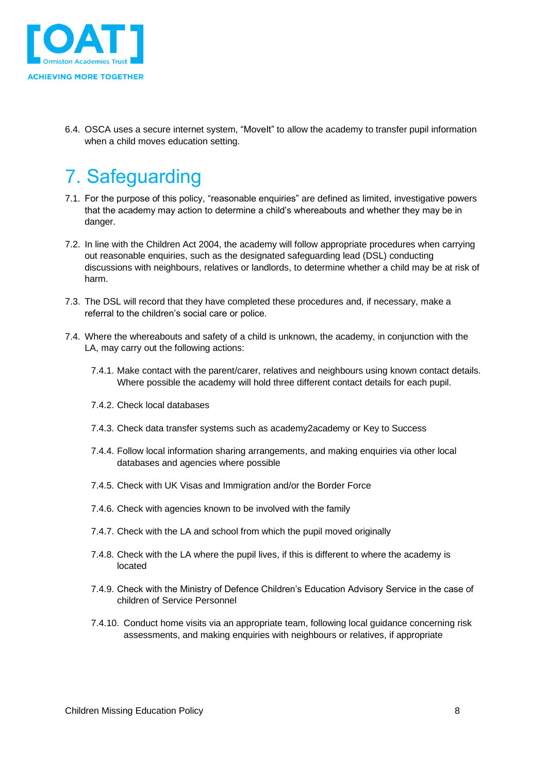

6.4. OSCA uses a secure internet system, "MoveIt" to allow the academy to transfer pupil information when a child moves education setting.

# <span id="page-7-0"></span>7. Safeguarding

- 7.1. For the purpose of this policy, "reasonable enquiries" are defined as limited, investigative powers that the academy may action to determine a child's whereabouts and whether they may be in danger.
- 7.2. In line with the Children Act 2004, the academy will follow appropriate procedures when carrying out reasonable enquiries, such as the designated safeguarding lead (DSL) conducting discussions with neighbours, relatives or landlords, to determine whether a child may be at risk of harm.
- 7.3. The DSL will record that they have completed these procedures and, if necessary, make a referral to the children's social care or police.
- 7.4. Where the whereabouts and safety of a child is unknown, the academy, in conjunction with the LA, may carry out the following actions:
	- 7.4.1. Make contact with the parent/carer, relatives and neighbours using known contact details. Where possible the academy will hold three different contact details for each pupil.
	- 7.4.2. Check local databases
	- 7.4.3. Check data transfer systems such as academy2academy or Key to Success
	- 7.4.4. Follow local information sharing arrangements, and making enquiries via other local databases and agencies where possible
	- 7.4.5. Check with UK Visas and Immigration and/or the Border Force
	- 7.4.6. Check with agencies known to be involved with the family
	- 7.4.7. Check with the LA and school from which the pupil moved originally
	- 7.4.8. Check with the LA where the pupil lives, if this is different to where the academy is located
	- 7.4.9. Check with the Ministry of Defence Children's Education Advisory Service in the case of children of Service Personnel
	- 7.4.10. Conduct home visits via an appropriate team, following local guidance concerning risk assessments, and making enquiries with neighbours or relatives, if appropriate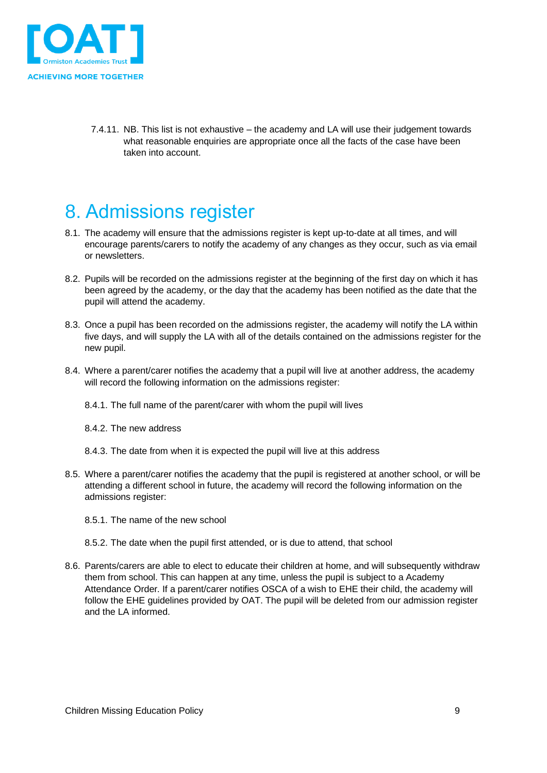

7.4.11. NB. This list is not exhaustive – the academy and LA will use their judgement towards what reasonable enquiries are appropriate once all the facts of the case have been taken into account.

# <span id="page-8-0"></span>8. Admissions register

- 8.1. The academy will ensure that the admissions register is kept up-to-date at all times, and will encourage parents/carers to notify the academy of any changes as they occur, such as via email or newsletters.
- 8.2. Pupils will be recorded on the admissions register at the beginning of the first day on which it has been agreed by the academy, or the day that the academy has been notified as the date that the pupil will attend the academy.
- 8.3. Once a pupil has been recorded on the admissions register, the academy will notify the LA within five days, and will supply the LA with all of the details contained on the admissions register for the new pupil.
- 8.4. Where a parent/carer notifies the academy that a pupil will live at another address, the academy will record the following information on the admissions register:
	- 8.4.1. The full name of the parent/carer with whom the pupil will lives
	- 8.4.2. The new address
	- 8.4.3. The date from when it is expected the pupil will live at this address
- 8.5. Where a parent/carer notifies the academy that the pupil is registered at another school, or will be attending a different school in future, the academy will record the following information on the admissions register:
	- 8.5.1. The name of the new school
	- 8.5.2. The date when the pupil first attended, or is due to attend, that school
- 8.6. Parents/carers are able to elect to educate their children at home, and will subsequently withdraw them from school. This can happen at any time, unless the pupil is subject to a Academy Attendance Order. If a parent/carer notifies OSCA of a wish to EHE their child, the academy will follow the EHE guidelines provided by OAT. The pupil will be deleted from our admission register and the LA informed.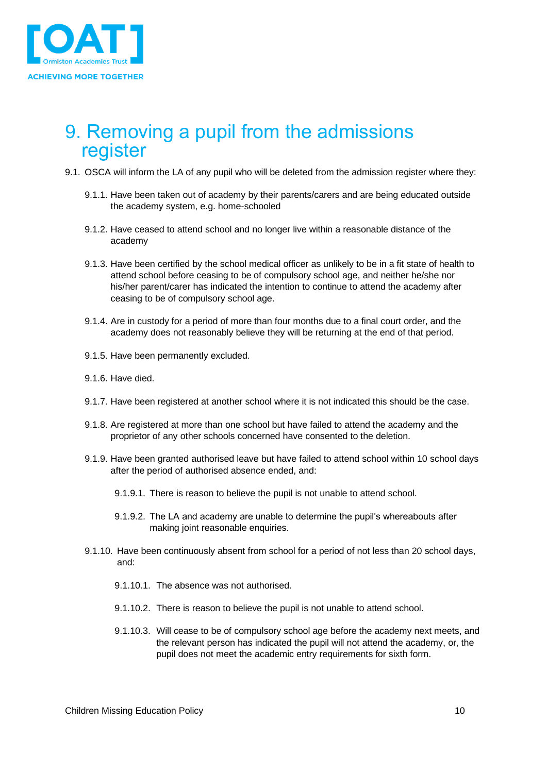

### <span id="page-9-0"></span>9. Removing a pupil from the admissions register

- 9.1. OSCA will inform the LA of any pupil who will be deleted from the admission register where they:
	- 9.1.1. Have been taken out of academy by their parents/carers and are being educated outside the academy system, e.g. home-schooled
	- 9.1.2. Have ceased to attend school and no longer live within a reasonable distance of the academy
	- 9.1.3. Have been certified by the school medical officer as unlikely to be in a fit state of health to attend school before ceasing to be of compulsory school age, and neither he/she nor his/her parent/carer has indicated the intention to continue to attend the academy after ceasing to be of compulsory school age.
	- 9.1.4. Are in custody for a period of more than four months due to a final court order, and the academy does not reasonably believe they will be returning at the end of that period.
	- 9.1.5. Have been permanently excluded.
	- 9.1.6. Have died.
	- 9.1.7. Have been registered at another school where it is not indicated this should be the case.
	- 9.1.8. Are registered at more than one school but have failed to attend the academy and the proprietor of any other schools concerned have consented to the deletion.
	- 9.1.9. Have been granted authorised leave but have failed to attend school within 10 school days after the period of authorised absence ended, and:
		- 9.1.9.1. There is reason to believe the pupil is not unable to attend school.
		- 9.1.9.2. The LA and academy are unable to determine the pupil's whereabouts after making joint reasonable enquiries.
	- 9.1.10. Have been continuously absent from school for a period of not less than 20 school days, and:
		- 9.1.10.1. The absence was not authorised.
		- 9.1.10.2. There is reason to believe the pupil is not unable to attend school.
		- 9.1.10.3. Will cease to be of compulsory school age before the academy next meets, and the relevant person has indicated the pupil will not attend the academy, or, the pupil does not meet the academic entry requirements for sixth form.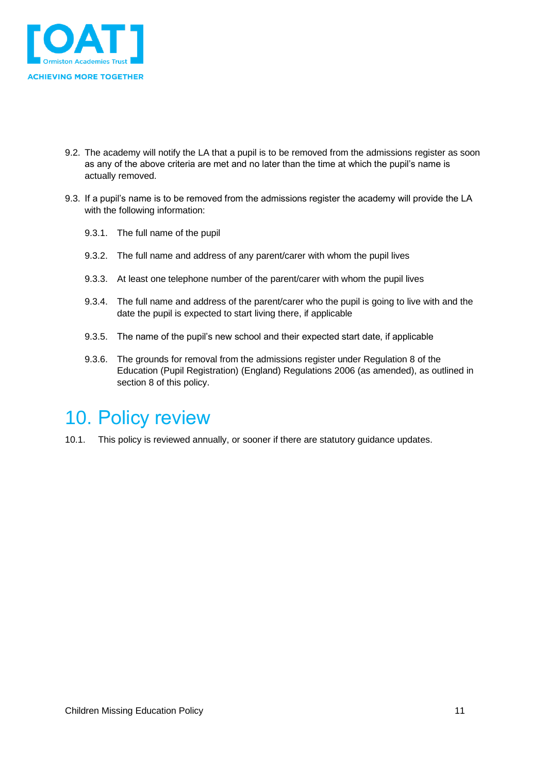

- 9.2. The academy will notify the LA that a pupil is to be removed from the admissions register as soon as any of the above criteria are met and no later than the time at which the pupil's name is actually removed.
- 9.3. If a pupil's name is to be removed from the admissions register the academy will provide the LA with the following information:
	- 9.3.1. The full name of the pupil
	- 9.3.2. The full name and address of any parent/carer with whom the pupil lives
	- 9.3.3. At least one telephone number of the parent/carer with whom the pupil lives
	- 9.3.4. The full name and address of the parent/carer who the pupil is going to live with and the date the pupil is expected to start living there, if applicable
	- 9.3.5. The name of the pupil's new school and their expected start date, if applicable
	- 9.3.6. The grounds for removal from the admissions register under Regulation 8 of the Education (Pupil Registration) (England) Regulations 2006 (as amended), as outlined in section 8 of this policy.

### <span id="page-10-0"></span>10. Policy review

10.1. This policy is reviewed annually, or sooner if there are statutory guidance updates.